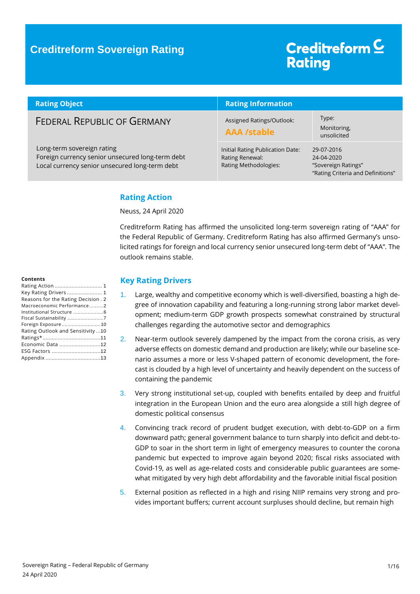### **Creditreform Sovereign Rating**

## Creditreform<sup>C</sup> **Rating**

| <b>Rating Object</b>                                                                                                             | <b>Rating Information</b>                                                    |                                                                                      |
|----------------------------------------------------------------------------------------------------------------------------------|------------------------------------------------------------------------------|--------------------------------------------------------------------------------------|
| <b>FEDERAL REPUBLIC OF GERMANY</b>                                                                                               | Assigned Ratings/Outlook:<br><b>AAA /stable</b>                              | Type:<br>Monitoring,<br>unsolicited                                                  |
| Long-term sovereign rating<br>Foreign currency senior unsecured long-term debt<br>Local currency senior unsecured long-term debt | Initial Rating Publication Date:<br>Rating Renewal:<br>Rating Methodologies: | 29-07-2016<br>24-04-2020<br>"Sovereign Ratings"<br>"Rating Criteria and Definitions" |

### <span id="page-0-0"></span>**Rating Action**

Neuss, 24 April 2020

Creditreform Rating has affirmed the unsolicited long-term sovereign rating of "AAA" for the Federal Republic of Germany. Creditreform Rating has also affirmed Germany's unsolicited ratings for foreign and local currency senior unsecured long-term debt of "AAA". The outlook remains stable.

#### **Contents**

| Key Rating Drivers  1              |
|------------------------------------|
| Reasons for the Rating Decision. 2 |
| Macroeconomic Performance2         |
|                                    |
| Fiscal Sustainability 7            |
| Foreign Exposure10                 |
| Rating Outlook and Sensitivity  10 |
|                                    |
| Economic Data 12                   |
| ESG Factors 12                     |
|                                    |

### <span id="page-0-1"></span>**Key Rating Drivers**

- Large, wealthy and competitive economy which is well-diversified, boasting a high degree of innovation capability and featuring a long-running strong labor market development; medium-term GDP growth prospects somewhat constrained by structural challenges regarding the automotive sector and demographics
- 2. Near-term outlook severely dampened by the impact from the corona crisis, as very adverse effects on domestic demand and production are likely; while our baseline scenario assumes a more or less V-shaped pattern of economic development, the forecast is clouded by a high level of uncertainty and heavily dependent on the success of containing the pandemic
- 3. Very strong institutional set-up, coupled with benefits entailed by deep and fruitful integration in the European Union and the euro area alongside a still high degree of domestic political consensus
- 4. Convincing track record of prudent budget execution, with debt-to-GDP on a firm downward path; general government balance to turn sharply into deficit and debt-to-GDP to soar in the short term in light of emergency measures to counter the corona pandemic but expected to improve again beyond 2020; fiscal risks associated with Covid-19, as well as age-related costs and considerable public guarantees are somewhat mitigated by very high debt affordability and the favorable initial fiscal position
- 5. External position as reflected in a high and rising NIIP remains very strong and provides important buffers; current account surpluses should decline, but remain high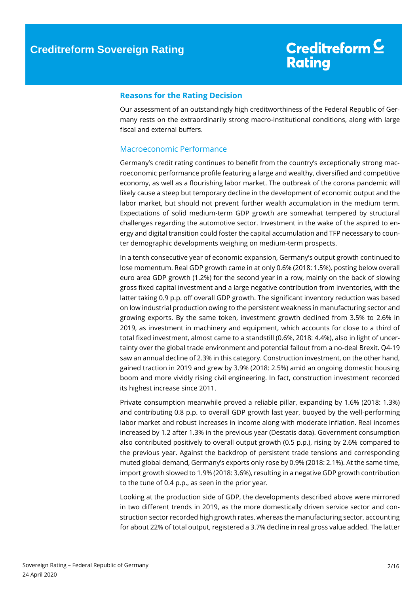### <span id="page-1-0"></span>**Reasons for the Rating Decision**

Our assessment of an outstandingly high creditworthiness of the Federal Republic of Germany rests on the extraordinarily strong macro-institutional conditions, along with large fiscal and external buffers.

### <span id="page-1-1"></span>Macroeconomic Performance

Germany's credit rating continues to benefit from the country's exceptionally strong macroeconomic performance profile featuring a large and wealthy, diversified and competitive economy, as well as a flourishing labor market. The outbreak of the corona pandemic will likely cause a steep but temporary decline in the development of economic output and the labor market, but should not prevent further wealth accumulation in the medium term. Expectations of solid medium-term GDP growth are somewhat tempered by structural challenges regarding the automotive sector. Investment in the wake of the aspired to energy and digital transition could foster the capital accumulation and TFP necessary to counter demographic developments weighing on medium-term prospects.

In a tenth consecutive year of economic expansion, Germany's output growth continued to lose momentum. Real GDP growth came in at only 0.6% (2018: 1.5%), posting below overall euro area GDP growth (1.2%) for the second year in a row, mainly on the back of slowing gross fixed capital investment and a large negative contribution from inventories, with the latter taking 0.9 p.p. off overall GDP growth. The significant inventory reduction was based on low industrial production owing to the persistent weakness in manufacturing sector and growing exports. By the same token, investment growth declined from 3.5% to 2.6% in 2019, as investment in machinery and equipment, which accounts for close to a third of total fixed investment, almost came to a standstill (0.6%, 2018: 4.4%), also in light of uncertainty over the global trade environment and potential fallout from a no-deal Brexit. Q4-19 saw an annual decline of 2.3% in this category. Construction investment, on the other hand, gained traction in 2019 and grew by 3.9% (2018: 2.5%) amid an ongoing domestic housing boom and more vividly rising civil engineering. In fact, construction investment recorded its highest increase since 2011.

Private consumption meanwhile proved a reliable pillar, expanding by 1.6% (2018: 1.3%) and contributing 0.8 p.p. to overall GDP growth last year, buoyed by the well-performing labor market and robust increases in income along with moderate inflation. Real incomes increased by 1.2 after 1.3% in the previous year (Destatis data). Government consumption also contributed positively to overall output growth (0.5 p.p.), rising by 2.6% compared to the previous year. Against the backdrop of persistent trade tensions and corresponding muted global demand, Germany's exports only rose by 0.9% (2018: 2.1%). At the same time, import growth slowed to 1.9% (2018: 3.6%), resulting in a negative GDP growth contribution to the tune of 0.4 p.p., as seen in the prior year.

Looking at the production side of GDP, the developments described above were mirrored in two different trends in 2019, as the more domestically driven service sector and construction sector recorded high growth rates, whereas the manufacturing sector, accounting for about 22% of total output, registered a 3.7% decline in real gross value added. The latter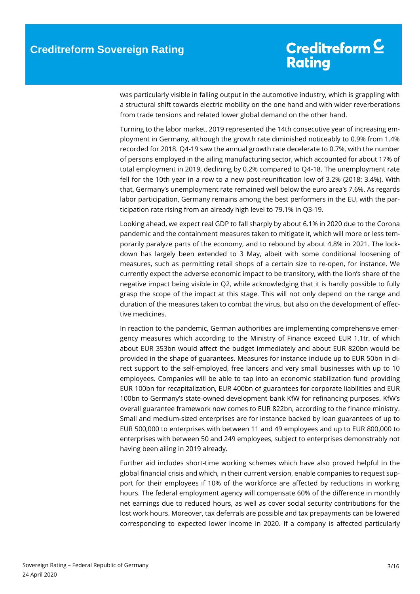was particularly visible in falling output in the automotive industry, which is grappling with a structural shift towards electric mobility on the one hand and with wider reverberations from trade tensions and related lower global demand on the other hand.

Turning to the labor market, 2019 represented the 14th consecutive year of increasing employment in Germany, although the growth rate diminished noticeably to 0.9% from 1.4% recorded for 2018. Q4-19 saw the annual growth rate decelerate to 0.7%, with the number of persons employed in the ailing manufacturing sector, which accounted for about 17% of total employment in 2019, declining by 0.2% compared to Q4-18. The unemployment rate fell for the 10th year in a row to a new post-reunification low of 3.2% (2018: 3.4%). With that, Germany's unemployment rate remained well below the euro area's 7.6%. As regards labor participation, Germany remains among the best performers in the EU, with the participation rate rising from an already high level to 79.1% in Q3-19.

Looking ahead, we expect real GDP to fall sharply by about 6.1% in 2020 due to the Corona pandemic and the containment measures taken to mitigate it, which will more or less temporarily paralyze parts of the economy, and to rebound by about 4.8% in 2021. The lockdown has largely been extended to 3 May, albeit with some conditional loosening of measures, such as permitting retail shops of a certain size to re-open, for instance. We currently expect the adverse economic impact to be transitory, with the lion's share of the negative impact being visible in Q2, while acknowledging that it is hardly possible to fully grasp the scope of the impact at this stage. This will not only depend on the range and duration of the measures taken to combat the virus, but also on the development of effective medicines.

In reaction to the pandemic, German authorities are implementing comprehensive emergency measures which according to the Ministry of Finance exceed EUR 1.1tr, of which about EUR 353bn would affect the budget immediately and about EUR 820bn would be provided in the shape of guarantees. Measures for instance include up to EUR 50bn in direct support to the self-employed, free lancers and very small businesses with up to 10 employees. Companies will be able to tap into an economic stabilization fund providing EUR 100bn for recapitalization, EUR 400bn of guarantees for corporate liabilities and EUR 100bn to Germany's state-owned development bank KfW for refinancing purposes. KfW's overall guarantee framework now comes to EUR 822bn, according to the finance ministry. Small and medium-sized enterprises are for instance backed by loan guarantees of up to EUR 500,000 to enterprises with between 11 and 49 employees and up to EUR 800,000 to enterprises with between 50 and 249 employees, subject to enterprises demonstrably not having been ailing in 2019 already.

Further aid includes short-time working schemes which have also proved helpful in the global financial crisis and which, in their current version, enable companies to request support for their employees if 10% of the workforce are affected by reductions in working hours. The federal employment agency will compensate 60% of the difference in monthly net earnings due to reduced hours, as well as cover social security contributions for the lost work hours. Moreover, tax deferrals are possible and tax prepayments can be lowered corresponding to expected lower income in 2020. If a company is affected particularly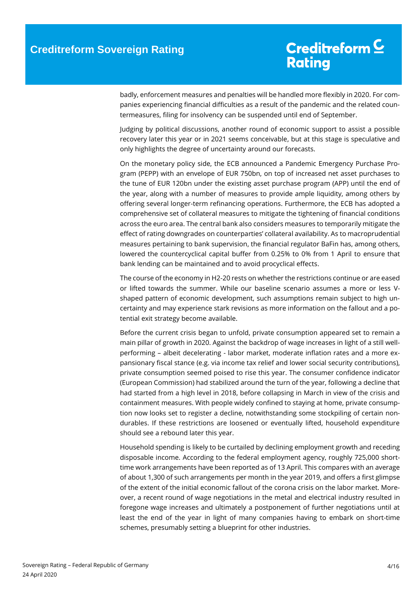badly, enforcement measures and penalties will be handled more flexibly in 2020. For companies experiencing financial difficulties as a result of the pandemic and the related countermeasures, filing for insolvency can be suspended until end of September.

Judging by political discussions, another round of economic support to assist a possible recovery later this year or in 2021 seems conceivable, but at this stage is speculative and only highlights the degree of uncertainty around our forecasts.

On the monetary policy side, the ECB announced a Pandemic Emergency Purchase Program (PEPP) with an envelope of EUR 750bn, on top of increased net asset purchases to the tune of EUR 120bn under the existing asset purchase program (APP) until the end of the year, along with a number of measures to provide ample liquidity, among others by offering several longer-term refinancing operations. Furthermore, the ECB has adopted a comprehensive set of collateral measures to mitigate the tightening of financial conditions across the euro area. The central bank also considers measures to temporarily mitigate the effect of rating downgrades on counterparties' collateral availability. As to macroprudential measures pertaining to bank supervision, the financial regulator BaFin has, among others, lowered the countercyclical capital buffer from 0.25% to 0% from 1 April to ensure that bank lending can be maintained and to avoid procyclical effects.

The course of the economy in H2-20 rests on whether the restrictions continue or are eased or lifted towards the summer. While our baseline scenario assumes a more or less Vshaped pattern of economic development, such assumptions remain subject to high uncertainty and may experience stark revisions as more information on the fallout and a potential exit strategy become available.

Before the current crisis began to unfold, private consumption appeared set to remain a main pillar of growth in 2020. Against the backdrop of wage increases in light of a still wellperforming – albeit decelerating - labor market, moderate inflation rates and a more expansionary fiscal stance (e.g. via income tax relief and lower social security contributions), private consumption seemed poised to rise this year. The consumer confidence indicator (European Commission) had stabilized around the turn of the year, following a decline that had started from a high level in 2018, before collapsing in March in view of the crisis and containment measures. With people widely confined to staying at home, private consumption now looks set to register a decline, notwithstanding some stockpiling of certain nondurables. If these restrictions are loosened or eventually lifted, household expenditure should see a rebound later this year.

Household spending is likely to be curtailed by declining employment growth and receding disposable income. According to the federal employment agency, roughly 725,000 shorttime work arrangements have been reported as of 13 April. This compares with an average of about 1,300 of such arrangements per month in the year 2019, and offers a first glimpse of the extent of the initial economic fallout of the corona crisis on the labor market. Moreover, a recent round of wage negotiations in the metal and electrical industry resulted in foregone wage increases and ultimately a postponement of further negotiations until at least the end of the year in light of many companies having to embark on short-time schemes, presumably setting a blueprint for other industries.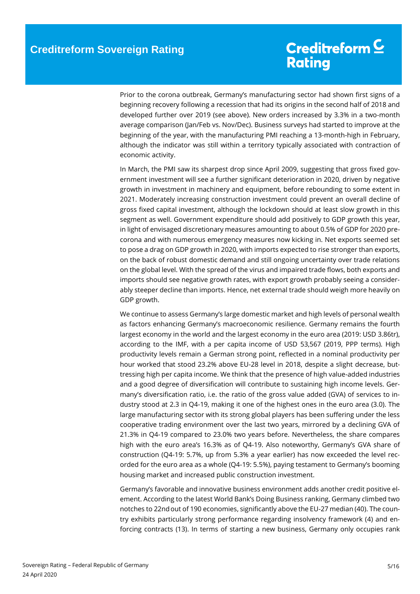Prior to the corona outbreak, Germany's manufacturing sector had shown first signs of a beginning recovery following a recession that had its origins in the second half of 2018 and developed further over 2019 (see above). New orders increased by 3.3% in a two-month average comparison (Jan/Feb vs. Nov/Dec). Business surveys had started to improve at the beginning of the year, with the manufacturing PMI reaching a 13-month-high in February, although the indicator was still within a territory typically associated with contraction of economic activity.

In March, the PMI saw its sharpest drop since April 2009, suggesting that gross fixed government investment will see a further significant deterioration in 2020, driven by negative growth in investment in machinery and equipment, before rebounding to some extent in 2021. Moderately increasing construction investment could prevent an overall decline of gross fixed capital investment, although the lockdown should at least slow growth in this segment as well. Government expenditure should add positively to GDP growth this year, in light of envisaged discretionary measures amounting to about 0.5% of GDP for 2020 precorona and with numerous emergency measures now kicking in. Net exports seemed set to pose a drag on GDP growth in 2020, with imports expected to rise stronger than exports, on the back of robust domestic demand and still ongoing uncertainty over trade relations on the global level. With the spread of the virus and impaired trade flows, both exports and imports should see negative growth rates, with export growth probably seeing a considerably steeper decline than imports. Hence, net external trade should weigh more heavily on GDP growth.

We continue to assess Germany's large domestic market and high levels of personal wealth as factors enhancing Germany's macroeconomic resilience. Germany remains the fourth largest economy in the world and the largest economy in the euro area (2019: USD 3.86tr), according to the IMF, with a per capita income of USD 53,567 (2019, PPP terms). High productivity levels remain a German strong point, reflected in a nominal productivity per hour worked that stood 23.2% above EU-28 level in 2018, despite a slight decrease, buttressing high per capita income. We think that the presence of high value-added industries and a good degree of diversification will contribute to sustaining high income levels. Germany's diversification ratio, i.e. the ratio of the gross value added (GVA) of services to industry stood at 2.3 in Q4-19, making it one of the highest ones in the euro area (3.0). The large manufacturing sector with its strong global players has been suffering under the less cooperative trading environment over the last two years, mirrored by a declining GVA of 21.3% in Q4-19 compared to 23.0% two years before. Nevertheless, the share compares high with the euro area's 16.3% as of Q4-19. Also noteworthy, Germany's GVA share of construction (Q4-19: 5.7%, up from 5.3% a year earlier) has now exceeded the level recorded for the euro area as a whole (Q4-19: 5.5%), paying testament to Germany's booming housing market and increased public construction investment.

Germany's favorable and innovative business environment adds another credit positive element. According to the latest World Bank's Doing Business ranking, Germany climbed two notches to 22ndout of 190 economies, significantly above the EU-27 median (40). The country exhibits particularly strong performance regarding insolvency framework (4) and enforcing contracts (13). In terms of starting a new business, Germany only occupies rank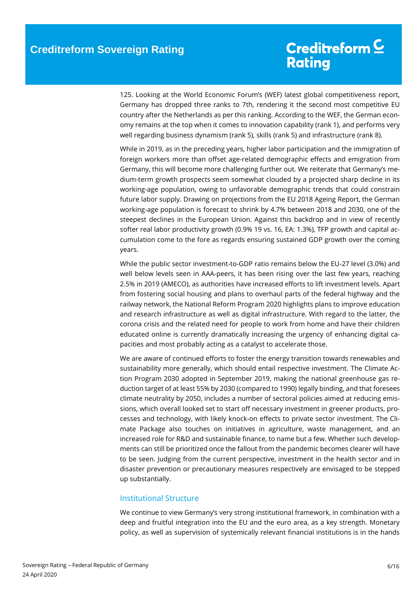125. Looking at the World Economic Forum's (WEF) latest global competitiveness report, Germany has dropped three ranks to 7th, rendering it the second most competitive EU country after the Netherlands as per this ranking. According to the WEF, the German economy remains at the top when it comes to innovation capability (rank 1), and performs very well regarding business dynamism (rank 5), skills (rank 5) and infrastructure (rank 8).

While in 2019, as in the preceding years, higher labor participation and the immigration of foreign workers more than offset age-related demographic effects and emigration from Germany, this will become more challenging further out. We reiterate that Germany's medium-term growth prospects seem somewhat clouded by a projected sharp decline in its working-age population, owing to unfavorable demographic trends that could constrain future labor supply. Drawing on projections from the EU 2018 Ageing Report, the German working-age population is forecast to shrink by 4.7% between 2018 and 2030, one of the steepest declines in the European Union. Against this backdrop and in view of recently softer real labor productivity growth (0.9% 19 vs. 16, EA: 1.3%), TFP growth and capital accumulation come to the fore as regards ensuring sustained GDP growth over the coming years.

While the public sector investment-to-GDP ratio remains below the EU-27 level (3.0%) and well below levels seen in AAA-peers, it has been rising over the last few years, reaching 2.5% in 2019 (AMECO), as authorities have increased efforts to lift investment levels. Apart from fostering social housing and plans to overhaul parts of the federal highway and the railway network, the National Reform Program 2020 highlights plans to improve education and research infrastructure as well as digital infrastructure. With regard to the latter, the corona crisis and the related need for people to work from home and have their children educated online is currently dramatically increasing the urgency of enhancing digital capacities and most probably acting as a catalyst to accelerate those.

We are aware of continued efforts to foster the energy transition towards renewables and sustainability more generally, which should entail respective investment. The Climate Action Program 2030 adopted in September 2019, making the national greenhouse gas reduction target of at least 55% by 2030 (compared to 1990) legally binding, and that foresees climate neutrality by 2050, includes a number of sectoral policies aimed at reducing emissions, which overall looked set to start off necessary investment in greener products, processes and technology, with likely knock-on effects to private sector investment. The Climate Package also touches on initiatives in agriculture, waste management, and an increased role for R&D and sustainable finance, to name but a few. Whether such developments can still be prioritized once the fallout from the pandemic becomes clearer will have to be seen. Judging from the current perspective, investment in the health sector and in disaster prevention or precautionary measures respectively are envisaged to be stepped up substantially.

### <span id="page-5-0"></span>Institutional Structure

We continue to view Germany's very strong institutional framework, in combination with a deep and fruitful integration into the EU and the euro area, as a key strength. Monetary policy, as well as supervision of systemically relevant financial institutions is in the hands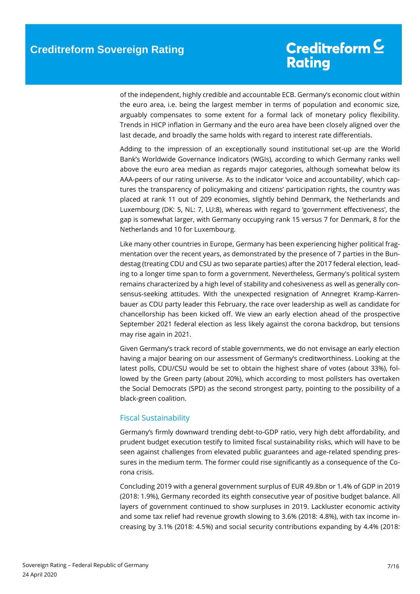of the independent, highly credible and accountable ECB. Germany's economic clout within the euro area, i.e. being the largest member in terms of population and economic size, arguably compensates to some extent for a formal lack of monetary policy flexibility. Trends in HICP inflation in Germany and the euro area have been closely aligned over the last decade, and broadly the same holds with regard to interest rate differentials.

Adding to the impression of an exceptionally sound institutional set-up are the World Bank's Worldwide Governance Indicators (WGIs), according to which Germany ranks well above the euro area median as regards major categories, although somewhat below its AAA-peers of our rating universe. As to the indicator 'voice and accountability', which captures the transparency of policymaking and citizens' participation rights, the country was placed at rank 11 out of 209 economies, slightly behind Denmark, the Netherlands and Luxembourg (DK: 5, NL: 7, LU:8), whereas with regard to 'government effectiveness', the gap is somewhat larger, with Germany occupying rank 15 versus 7 for Denmark, 8 for the Netherlands and 10 for Luxembourg.

Like many other countries in Europe, Germany has been experiencing higher political fragmentation over the recent years, as demonstrated by the presence of 7 parties in the Bundestag (treating CDU and CSU as two separate parties) after the 2017 federal election, leading to a longer time span to form a government. Nevertheless, Germany's political system remains characterized by a high level of stability and cohesiveness as well as generally consensus-seeking attitudes. With the unexpected resignation of Annegret Kramp-Karrenbauer as CDU party leader this February, the race over leadership as well as candidate for chancellorship has been kicked off. We view an early election ahead of the prospective September 2021 federal election as less likely against the corona backdrop, but tensions may rise again in 2021.

Given Germany's track record of stable governments, we do not envisage an early election having a major bearing on our assessment of Germany's creditworthiness. Looking at the latest polls, CDU/CSU would be set to obtain the highest share of votes (about 33%), followed by the Green party (about 20%), which according to most pollsters has overtaken the Social Democrats (SPD) as the second strongest party, pointing to the possibility of a black-green coalition.

### <span id="page-6-0"></span>Fiscal Sustainability

Germany's firmly downward trending debt-to-GDP ratio, very high debt affordability, and prudent budget execution testify to limited fiscal sustainability risks, which will have to be seen against challenges from elevated public guarantees and age-related spending pressures in the medium term. The former could rise significantly as a consequence of the Corona crisis.

Concluding 2019 with a general government surplus of EUR 49.8bn or 1.4% of GDP in 2019 (2018: 1.9%), Germany recorded its eighth consecutive year of positive budget balance. All layers of government continued to show surpluses in 2019. Lackluster economic activity and some tax relief had revenue growth slowing to 3.6% (2018: 4.8%), with tax income increasing by 3.1% (2018: 4.5%) and social security contributions expanding by 4.4% (2018: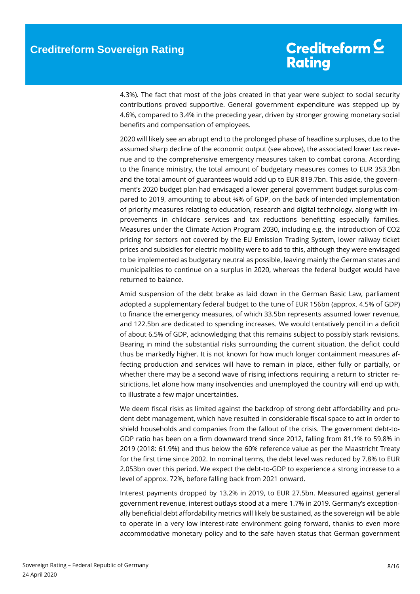4.3%). The fact that most of the jobs created in that year were subject to social security contributions proved supportive. General government expenditure was stepped up by 4.6%, compared to 3.4% in the preceding year, driven by stronger growing monetary social benefits and compensation of employees.

2020 will likely see an abrupt end to the prolonged phase of headline surpluses, due to the assumed sharp decline of the economic output (see above), the associated lower tax revenue and to the comprehensive emergency measures taken to combat corona. According to the finance ministry, the total amount of budgetary measures comes to EUR 353.3bn and the total amount of guarantees would add up to EUR 819.7bn. This aside, the government's 2020 budget plan had envisaged a lower general government budget surplus compared to 2019, amounting to about ¾% of GDP, on the back of intended implementation of priority measures relating to education, research and digital technology, along with improvements in childcare services and tax reductions benefitting especially families. Measures under the Climate Action Program 2030, including e.g. the introduction of CO2 pricing for sectors not covered by the EU Emission Trading System, lower railway ticket prices and subsidies for electric mobility were to add to this, although they were envisaged to be implemented as budgetary neutral as possible, leaving mainly the German states and municipalities to continue on a surplus in 2020, whereas the federal budget would have returned to balance.

Amid suspension of the debt brake as laid down in the German Basic Law, parliament adopted a supplementary federal budget to the tune of EUR 156bn (approx. 4.5% of GDP) to finance the emergency measures, of which 33.5bn represents assumed lower revenue, and 122.5bn are dedicated to spending increases. We would tentatively pencil in a deficit of about 6.5% of GDP, acknowledging that this remains subject to possibly stark revisions. Bearing in mind the substantial risks surrounding the current situation, the deficit could thus be markedly higher. It is not known for how much longer containment measures affecting production and services will have to remain in place, either fully or partially, or whether there may be a second wave of rising infections requiring a return to stricter restrictions, let alone how many insolvencies and unemployed the country will end up with, to illustrate a few major uncertainties.

We deem fiscal risks as limited against the backdrop of strong debt affordability and prudent debt management, which have resulted in considerable fiscal space to act in order to shield households and companies from the fallout of the crisis. The government debt-to-GDP ratio has been on a firm downward trend since 2012, falling from 81.1% to 59.8% in 2019 (2018: 61.9%) and thus below the 60% reference value as per the Maastricht Treaty for the first time since 2002. In nominal terms, the debt level was reduced by 7.8% to EUR 2.053bn over this period. We expect the debt-to-GDP to experience a strong increase to a level of approx. 72%, before falling back from 2021 onward.

Interest payments dropped by 13.2% in 2019, to EUR 27.5bn. Measured against general government revenue, interest outlays stood at a mere 1.7% in 2019. Germany's exceptionally beneficial debt affordability metrics will likely be sustained, as the sovereign will be able to operate in a very low interest-rate environment going forward, thanks to even more accommodative monetary policy and to the safe haven status that German government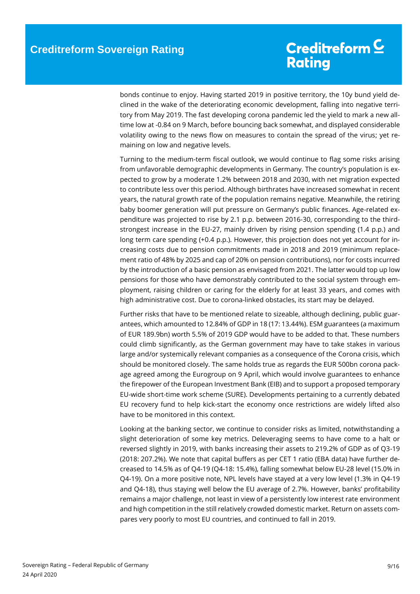bonds continue to enjoy. Having started 2019 in positive territory, the 10y bund yield declined in the wake of the deteriorating economic development, falling into negative territory from May 2019. The fast developing corona pandemic led the yield to mark a new alltime low at -0.84 on 9 March, before bouncing back somewhat, and displayed considerable volatility owing to the news flow on measures to contain the spread of the virus; yet remaining on low and negative levels.

Turning to the medium-term fiscal outlook, we would continue to flag some risks arising from unfavorable demographic developments in Germany. The country's population is expected to grow by a moderate 1.2% between 2018 and 2030, with net migration expected to contribute less over this period. Although birthrates have increased somewhat in recent years, the natural growth rate of the population remains negative. Meanwhile, the retiring baby boomer generation will put pressure on Germany's public finances. Age-related expenditure was projected to rise by 2.1 p.p. between 2016-30, corresponding to the thirdstrongest increase in the EU-27, mainly driven by rising pension spending (1.4 p.p.) and long term care spending (+0.4 p.p.). However, this projection does not yet account for increasing costs due to pension commitments made in 2018 and 2019 (minimum replacement ratio of 48% by 2025 and cap of 20% on pension contributions), nor for costs incurred by the introduction of a basic pension as envisaged from 2021. The latter would top up low pensions for those who have demonstrably contributed to the social system through employment, raising children or caring for the elderly for at least 33 years, and comes with high administrative cost. Due to corona-linked obstacles, its start may be delayed.

Further risks that have to be mentioned relate to sizeable, although declining, public guarantees, which amounted to 12.84% of GDP in 18 (17: 13.44%). ESM guarantees (a maximum of EUR 189.9bn) worth 5.5% of 2019 GDP would have to be added to that. These numbers could climb significantly, as the German government may have to take stakes in various large and/or systemically relevant companies as a consequence of the Corona crisis, which should be monitored closely. The same holds true as regards the EUR 500bn corona package agreed among the Eurogroup on 9 April, which would involve guarantees to enhance the firepower of the European Investment Bank (EIB) and to support a proposed temporary EU-wide short-time work scheme (SURE). Developments pertaining to a currently debated EU recovery fund to help kick-start the economy once restrictions are widely lifted also have to be monitored in this context.

Looking at the banking sector, we continue to consider risks as limited, notwithstanding a slight deterioration of some key metrics. Deleveraging seems to have come to a halt or reversed slightly in 2019, with banks increasing their assets to 219.2% of GDP as of Q3-19 (2018: 207.2%). We note that capital buffers as per CET 1 ratio (EBA data) have further decreased to 14.5% as of Q4-19 (Q4-18: 15.4%), falling somewhat below EU-28 level (15.0% in Q4-19). On a more positive note, NPL levels have stayed at a very low level (1.3% in Q4-19 and Q4-18), thus staying well below the EU average of 2.7%. However, banks' profitability remains a major challenge, not least in view of a persistently low interest rate environment and high competition in the still relatively crowded domestic market. Return on assets compares very poorly to most EU countries, and continued to fall in 2019.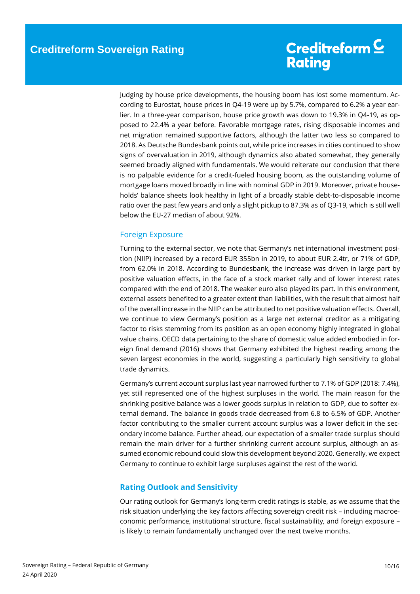Judging by house price developments, the housing boom has lost some momentum. According to Eurostat, house prices in Q4-19 were up by 5.7%, compared to 6.2% a year earlier. In a three-year comparison, house price growth was down to 19.3% in Q4-19, as opposed to 22.4% a year before. Favorable mortgage rates, rising disposable incomes and net migration remained supportive factors, although the latter two less so compared to 2018. As Deutsche Bundesbank points out, while price increases in cities continued to show signs of overvaluation in 2019, although dynamics also abated somewhat, they generally seemed broadly aligned with fundamentals. We would reiterate our conclusion that there is no palpable evidence for a credit-fueled housing boom, as the outstanding volume of mortgage loans moved broadly in line with nominal GDP in 2019. Moreover, private households' balance sheets look healthy in light of a broadly stable debt-to-disposable income ratio over the past few years and only a slight pickup to 87.3% as of Q3-19, which is still well below the EU-27 median of about 92%.

### <span id="page-9-0"></span>Foreign Exposure

Turning to the external sector, we note that Germany's net international investment position (NIIP) increased by a record EUR 355bn in 2019, to about EUR 2.4tr, or 71% of GDP, from 62.0% in 2018. According to Bundesbank, the increase was driven in large part by positive valuation effects, in the face of a stock market rally and of lower interest rates compared with the end of 2018. The weaker euro also played its part. In this environment, external assets benefited to a greater extent than liabilities, with the result that almost half of the overall increase in the NIIP can be attributed to net positive valuation effects. Overall, we continue to view Germany's position as a large net external creditor as a mitigating factor to risks stemming from its position as an open economy highly integrated in global value chains. OECD data pertaining to the share of domestic value added embodied in foreign final demand (2016) shows that Germany exhibited the highest reading among the seven largest economies in the world, suggesting a particularly high sensitivity to global trade dynamics.

Germany's current account surplus last year narrowed further to 7.1% of GDP (2018: 7.4%), yet still represented one of the highest surpluses in the world. The main reason for the shrinking positive balance was a lower goods surplus in relation to GDP, due to softer external demand. The balance in goods trade decreased from 6.8 to 6.5% of GDP. Another factor contributing to the smaller current account surplus was a lower deficit in the secondary income balance. Further ahead, our expectation of a smaller trade surplus should remain the main driver for a further shrinking current account surplus, although an assumed economic rebound could slow this development beyond 2020. Generally, we expect Germany to continue to exhibit large surpluses against the rest of the world.

### <span id="page-9-1"></span>**Rating Outlook and Sensitivity**

Our rating outlook for Germany's long-term credit ratings is stable, as we assume that the risk situation underlying the key factors affecting sovereign credit risk – including macroeconomic performance, institutional structure, fiscal sustainability, and foreign exposure – is likely to remain fundamentally unchanged over the next twelve months.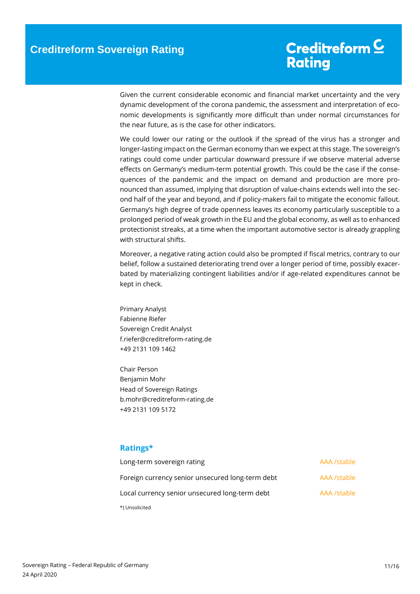Given the current considerable economic and financial market uncertainty and the very dynamic development of the corona pandemic, the assessment and interpretation of economic developments is significantly more difficult than under normal circumstances for the near future, as is the case for other indicators.

We could lower our rating or the outlook if the spread of the virus has a stronger and longer-lasting impact on the German economy than we expect at this stage. The sovereign's ratings could come under particular downward pressure if we observe material adverse effects on Germany's medium-term potential growth. This could be the case if the consequences of the pandemic and the impact on demand and production are more pronounced than assumed, implying that disruption of value-chains extends well into the second half of the year and beyond, and if policy-makers fail to mitigate the economic fallout. Germany's high degree of trade openness leaves its economy particularly susceptible to a prolonged period of weak growth in the EU and the global economy, as well as to enhanced protectionist streaks, at a time when the important automotive sector is already grappling with structural shifts.

Moreover, a negative rating action could also be prompted if fiscal metrics, contrary to our belief, follow a sustained deteriorating trend over a longer period of time, possibly exacerbated by materializing contingent liabilities and/or if age-related expenditures cannot be kept in check.

Primary Analyst Fabienne Riefer Sovereign Credit Analyst f.riefer@creditreform-rating.de +49 2131 109 1462

Chair Person Benjamin Mohr Head of Sovereign Ratings b.mohr@creditreform-rating.de +49 2131 109 5172

### <span id="page-10-0"></span>**Ratings\***

| Long-term sovereign rating                       | AAA /stable |
|--------------------------------------------------|-------------|
| Foreign currency senior unsecured long-term debt | AAA /stable |
| Local currency senior unsecured long-term debt   | AAA /stable |
| *) Unsolicited                                   |             |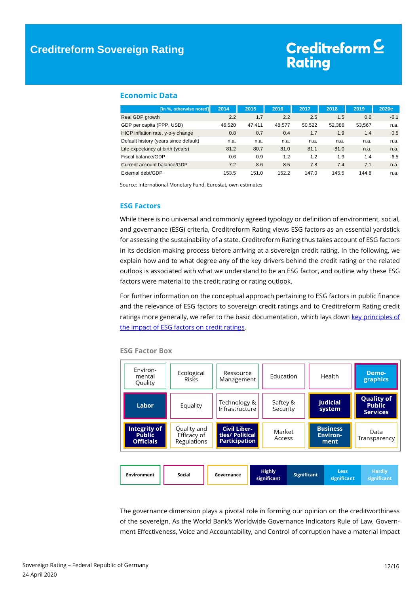### <span id="page-11-0"></span>**Economic Data**

| [in %, otherwise noted]               | 2014   | 2015   | 2016   | 2017   | 2018   | 2019   | 2020e  |
|---------------------------------------|--------|--------|--------|--------|--------|--------|--------|
| Real GDP growth                       | 2.2    | 1.7    | 2.2    | 2.5    | 1.5    | 0.6    | $-6.1$ |
| GDP per capita (PPP, USD)             | 46.520 | 47.411 | 48.577 | 50.522 | 52.386 | 53,567 | n.a.   |
| HICP inflation rate, y-o-y change     | 0.8    | 0.7    | 0.4    | 1.7    | 1.9    | 1.4    | 0.5    |
| Default history (years since default) | n.a.   | n.a.   | n.a.   | n.a.   | n.a.   | n.a.   | n.a.   |
| Life expectancy at birth (years)      | 81.2   | 80.7   | 81.0   | 81.1   | 81.0   | n.a.   | n.a.   |
| Fiscal balance/GDP                    | 0.6    | 0.9    | 1.2    | 1.2    | 1.9    | 1.4    | $-6.5$ |
| Current account balance/GDP           | 7.2    | 8.6    | 8.5    | 7.8    | 7.4    | 7.1    | n.a.   |
| External debt/GDP                     | 153.5  | 151.0  | 152.2  | 147.0  | 145.5  | 144.8  | n.a.   |

<span id="page-11-1"></span>Source: International Monetary Fund, Eurostat, own estimates

#### **ESG Factors**

While there is no universal and commonly agreed typology or definition of environment, social, and governance (ESG) criteria, Creditreform Rating views ESG factors as an essential yardstick for assessing the sustainability of a state. Creditreform Rating thus takes account of ESG factors in its decision-making process before arriving at a sovereign credit rating. In the following, we explain how and to what degree any of the key drivers behind the credit rating or the related outlook is associated with what we understand to be an ESG factor, and outline why these ESG factors were material to the credit rating or rating outlook.

For further information on the conceptual approach pertaining to ESG factors in public finance and the relevance of ESG factors to sovereign credit ratings and to Creditreform Rating credit ratings more generally, we refer to the basic documentation, which lays down key principles of [the impact of ESG factors on credit ratings.](https://www.creditreform-rating.de/pub/media/global/page_document/The_Impact_of_ESG_Factors_on_Credit_Ratings.pdf)



#### **ESG Factor Box**

The governance dimension plays a pivotal role in forming our opinion on the creditworthiness of the sovereign. As the World Bank's Worldwide Governance Indicators Rule of Law, Government Effectiveness, Voice and Accountability, and Control of corruption have a material impact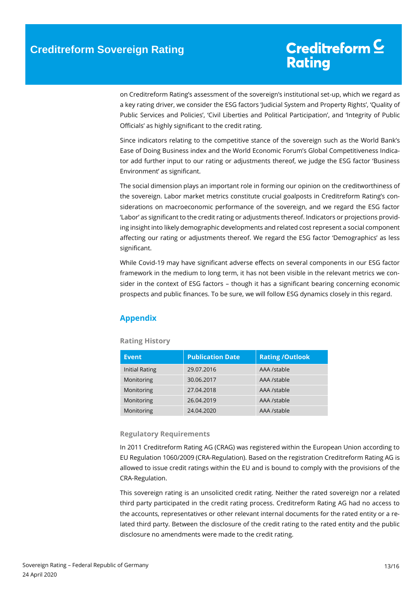on Creditreform Rating's assessment of the sovereign's institutional set-up, which we regard as a key rating driver, we consider the ESG factors 'Judicial System and Property Rights', 'Quality of Public Services and Policies', 'Civil Liberties and Political Participation', and 'Integrity of Public Officials' as highly significant to the credit rating.

Since indicators relating to the competitive stance of the sovereign such as the World Bank's Ease of Doing Business index and the World Economic Forum's Global Competitiveness Indicator add further input to our rating or adjustments thereof, we judge the ESG factor 'Business Environment' as significant.

The social dimension plays an important role in forming our opinion on the creditworthiness of the sovereign. Labor market metrics constitute crucial goalposts in Creditreform Rating's considerations on macroeconomic performance of the sovereign, and we regard the ESG factor 'Labor' as significant to the credit rating or adjustments thereof. Indicators or projections providing insight into likely demographic developments and related cost represent a social component affecting our rating or adjustments thereof. We regard the ESG factor 'Demographics' as less significant.

While Covid-19 may have significant adverse effects on several components in our ESG factor framework in the medium to long term, it has not been visible in the relevant metrics we consider in the context of ESG factors – though it has a significant bearing concerning economic prospects and public finances. To be sure, we will follow ESG dynamics closely in this regard.

### <span id="page-12-0"></span>**Appendix**

### **Rating History**

| <b>Event</b>   | <b>Publication Date</b> | <b>Rating /Outlook</b> |
|----------------|-------------------------|------------------------|
| Initial Rating | 29.07.2016              | AAA /stable            |
| Monitoring     | 30.06.2017              | AAA /stable            |
| Monitoring     | 27.04.2018              | AAA /stable            |
| Monitoring     | 26.04.2019              | AAA /stable            |
| Monitoring     | 24.04.2020              | AAA /stable            |

### **Regulatory Requirements**

In 2011 Creditreform Rating AG (CRAG) was registered within the European Union according to EU Regulation 1060/2009 (CRA-Regulation). Based on the registration Creditreform Rating AG is allowed to issue credit ratings within the EU and is bound to comply with the provisions of the CRA-Regulation.

This sovereign rating is an unsolicited credit rating. Neither the rated sovereign nor a related third party participated in the credit rating process. Creditreform Rating AG had no access to the accounts, representatives or other relevant internal documents for the rated entity or a related third party. Between the disclosure of the credit rating to the rated entity and the public disclosure no amendments were made to the credit rating.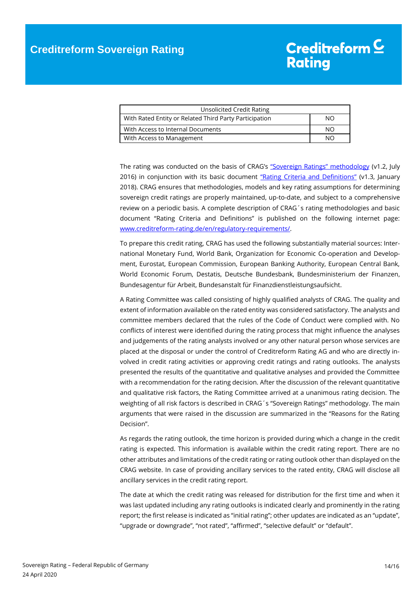| Unsolicited Credit Rating                              |    |
|--------------------------------------------------------|----|
| With Rated Entity or Related Third Party Participation | NΟ |
| With Access to Internal Documents                      | NΩ |
| With Access to Management                              | NС |

The rating was conducted on the basis of CRAG's ["Sovereign Ratings" methodology](http://www.creditreform-rating.de/pub/media/global/page_document/Rating%20Methodology%20for%20Sovereign%20Ratings.pdf) (v1.2, July 2016) in conjunction with its basic document ["Rating Criteria and Definitions"](https://www.creditreform-rating.de/pub/media/global/page_document/CRAG_Rating_Criteria_and_Definitions_v1_3_01-2018.pdf) (v1.3, January 2018). CRAG ensures that methodologies, models and key rating assumptions for determining sovereign credit ratings are properly maintained, up-to-date, and subject to a comprehensive review on a periodic basis. A complete description of CRAG´s rating methodologies and basic document "Rating Criteria and Definitions" is published on the following internet page: [www.creditreform-rating.de/en/regulatory-requirements/.](http://www.creditreform-rating.de/en/regulatory-requirements/)

To prepare this credit rating, CRAG has used the following substantially material sources: International Monetary Fund, World Bank, Organization for Economic Co-operation and Development, Eurostat, European Commission, European Banking Authority, European Central Bank, World Economic Forum, Destatis, Deutsche Bundesbank, Bundesministerium der Finanzen, Bundesagentur für Arbeit, Bundesanstalt für Finanzdienstleistungsaufsicht.

A Rating Committee was called consisting of highly qualified analysts of CRAG. The quality and extent of information available on the rated entity was considered satisfactory. The analysts and committee members declared that the rules of the Code of Conduct were complied with. No conflicts of interest were identified during the rating process that might influence the analyses and judgements of the rating analysts involved or any other natural person whose services are placed at the disposal or under the control of Creditreform Rating AG and who are directly involved in credit rating activities or approving credit ratings and rating outlooks. The analysts presented the results of the quantitative and qualitative analyses and provided the Committee with a recommendation for the rating decision. After the discussion of the relevant quantitative and qualitative risk factors, the Rating Committee arrived at a unanimous rating decision. The weighting of all risk factors is described in CRAG´s "Sovereign Ratings" methodology. The main arguments that were raised in the discussion are summarized in the "Reasons for the Rating Decision".

As regards the rating outlook, the time horizon is provided during which a change in the credit rating is expected. This information is available within the credit rating report. There are no other attributes and limitations of the credit rating or rating outlook other than displayed on the CRAG website. In case of providing ancillary services to the rated entity, CRAG will disclose all ancillary services in the credit rating report.

The date at which the credit rating was released for distribution for the first time and when it was last updated including any rating outlooks is indicated clearly and prominently in the rating report; the first release is indicated as "initial rating"; other updates are indicated as an "update", "upgrade or downgrade", "not rated", "affirmed", "selective default" or "default".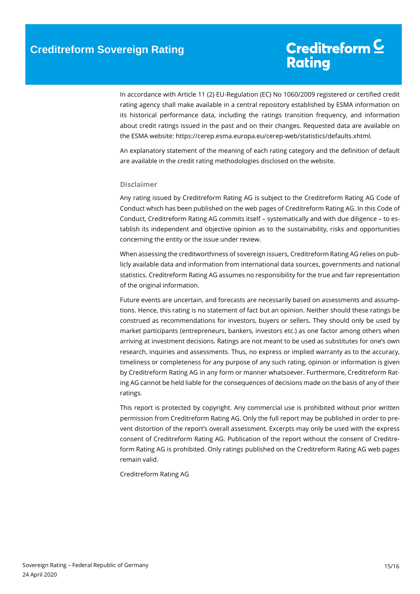In accordance with Article 11 (2) EU-Regulation (EC) No 1060/2009 registered or certified credit rating agency shall make available in a central repository established by ESMA information on its historical performance data, including the ratings transition frequency, and information about credit ratings issued in the past and on their changes. Requested data are available on the ESMA website: https://cerep.esma.europa.eu/cerep-web/statistics/defaults.xhtml.

An explanatory statement of the meaning of each rating category and the definition of default are available in the credit rating methodologies disclosed on the website.

#### **Disclaimer**

Any rating issued by Creditreform Rating AG is subject to the Creditreform Rating AG Code of Conduct which has been published on the web pages of Creditreform Rating AG. In this Code of Conduct, Creditreform Rating AG commits itself – systematically and with due diligence – to establish its independent and objective opinion as to the sustainability, risks and opportunities concerning the entity or the issue under review.

When assessing the creditworthiness of sovereign issuers, Creditreform Rating AG relies on publicly available data and information from international data sources, governments and national statistics. Creditreform Rating AG assumes no responsibility for the true and fair representation of the original information.

Future events are uncertain, and forecasts are necessarily based on assessments and assumptions. Hence, this rating is no statement of fact but an opinion. Neither should these ratings be construed as recommendations for investors, buyers or sellers. They should only be used by market participants (entrepreneurs, bankers, investors etc.) as one factor among others when arriving at investment decisions. Ratings are not meant to be used as substitutes for one's own research, inquiries and assessments. Thus, no express or implied warranty as to the accuracy, timeliness or completeness for any purpose of any such rating, opinion or information is given by Creditreform Rating AG in any form or manner whatsoever. Furthermore, Creditreform Rating AG cannot be held liable for the consequences of decisions made on the basis of any of their ratings.

This report is protected by copyright. Any commercial use is prohibited without prior written permission from Creditreform Rating AG. Only the full report may be published in order to prevent distortion of the report's overall assessment. Excerpts may only be used with the express consent of Creditreform Rating AG. Publication of the report without the consent of Creditreform Rating AG is prohibited. Only ratings published on the Creditreform Rating AG web pages remain valid.

Creditreform Rating AG